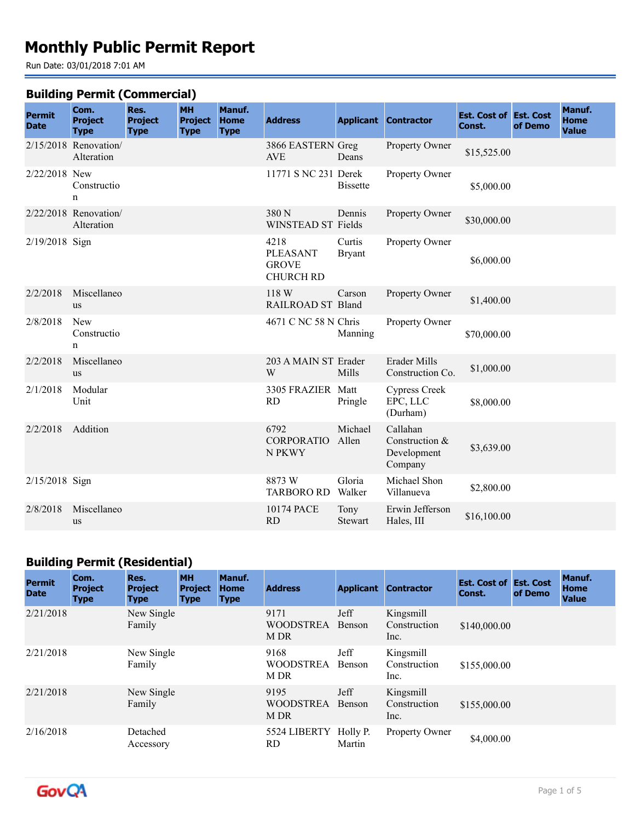# **Monthly Public Permit Report**

Run Date: 03/01/2018 7:01 AM

#### **Building Permit (Commercial)**

| <b>Permit</b><br><b>Date</b> | Com.<br><b>Project</b><br><b>Type</b> | Res.<br><b>Project</b><br><b>Type</b> | <b>MH</b><br><b>Project</b><br><b>Type</b> | Manuf.<br><b>Home</b><br><b>Type</b> | <b>Address</b>                                              |                         | <b>Applicant Contractor</b>                          | <b>Est. Cost of Est. Cost</b><br>Const. | of Demo | Manuf.<br>Home<br><b>Value</b> |
|------------------------------|---------------------------------------|---------------------------------------|--------------------------------------------|--------------------------------------|-------------------------------------------------------------|-------------------------|------------------------------------------------------|-----------------------------------------|---------|--------------------------------|
|                              | $2/15/2018$ Renovation<br>Alteration  |                                       |                                            |                                      | 3866 EASTERN Greg<br><b>AVE</b>                             | Deans                   | Property Owner                                       | \$15,525.00                             |         |                                |
| 2/22/2018 New                | Constructio<br>n                      |                                       |                                            |                                      | 11771 S NC 231 Derek                                        | <b>Bissette</b>         | Property Owner                                       | \$5,000.00                              |         |                                |
|                              | $2/22/2018$ Renovation<br>Alteration  |                                       |                                            |                                      | 380 N<br>WINSTEAD ST Fields                                 | Dennis                  | Property Owner                                       | \$30,000.00                             |         |                                |
| 2/19/2018 Sign               |                                       |                                       |                                            |                                      | 4218<br><b>PLEASANT</b><br><b>GROVE</b><br><b>CHURCH RD</b> | Curtis<br><b>Bryant</b> | Property Owner                                       | \$6,000.00                              |         |                                |
| 2/2/2018                     | Miscellaneo<br><b>us</b>              |                                       |                                            |                                      | 118 W<br>RAILROAD ST Bland                                  | Carson                  | Property Owner                                       | \$1,400.00                              |         |                                |
| 2/8/2018                     | New<br>Constructio<br>$\mathbf n$     |                                       |                                            |                                      | 4671 C NC 58 N Chris                                        | Manning                 | Property Owner                                       | \$70,000.00                             |         |                                |
| 2/2/2018                     | Miscellaneo<br><b>us</b>              |                                       |                                            |                                      | 203 A MAIN ST Erader<br>W                                   | Mills                   | Erader Mills<br>Construction Co.                     | \$1,000.00                              |         |                                |
| 2/1/2018                     | Modular<br>Unit                       |                                       |                                            |                                      | 3305 FRAZIER Matt<br><b>RD</b>                              | Pringle                 | <b>Cypress Creek</b><br>EPC, LLC<br>(Durham)         | \$8,000.00                              |         |                                |
| 2/2/2018                     | Addition                              |                                       |                                            |                                      | 6792<br><b>CORPORATIO</b><br>N PKWY                         | Michael<br>Allen        | Callahan<br>Construction &<br>Development<br>Company | \$3,639.00                              |         |                                |
| 2/15/2018 Sign               |                                       |                                       |                                            |                                      | 8873W<br><b>TARBORO RD</b>                                  | Gloria<br>Walker        | Michael Shon<br>Villanueva                           | \$2,800.00                              |         |                                |
| 2/8/2018                     | Miscellaneo<br>us                     |                                       |                                            |                                      | 10174 PACE<br><b>RD</b>                                     | Tony<br>Stewart         | Erwin Jefferson<br>Hales, III                        | \$16,100.00                             |         |                                |

## **Building Permit (Residential)**

| <b>Permit</b><br><b>Date</b> | Com.<br><b>Project</b><br><b>Type</b> | Res.<br><b>Project</b><br><b>Type</b> | <b>MH</b><br><b>Project</b><br><b>Type</b> | Manuf.<br><b>Home</b><br><b>Type</b> | <b>Address</b>                   |                    | <b>Applicant Contractor</b>       | <b>Est. Cost of Est. Cost</b><br>Const. | of Demo | Manuf.<br><b>Home</b><br><b>Value</b> |
|------------------------------|---------------------------------------|---------------------------------------|--------------------------------------------|--------------------------------------|----------------------------------|--------------------|-----------------------------------|-----------------------------------------|---------|---------------------------------------|
| 2/21/2018                    |                                       | New Single<br>Family                  |                                            |                                      | 9171<br><b>WOODSTREA</b><br>M DR | Jeff<br>Benson     | Kingsmill<br>Construction<br>Inc. | \$140,000.00                            |         |                                       |
| 2/21/2018                    |                                       | New Single<br>Family                  |                                            |                                      | 9168<br><b>WOODSTREA</b><br>M DR | Jeff<br>Benson     | Kingsmill<br>Construction<br>Inc. | \$155,000.00                            |         |                                       |
| 2/21/2018                    |                                       | New Single<br>Family                  |                                            |                                      | 9195<br><b>WOODSTREA</b><br>M DR | Jeff<br>Benson     | Kingsmill<br>Construction<br>Inc. | \$155,000.00                            |         |                                       |
| 2/16/2018                    |                                       | Detached<br>Accessory                 |                                            |                                      | 5524 LIBERTY<br>RD.              | Holly P.<br>Martin | Property Owner                    | \$4,000.00                              |         |                                       |

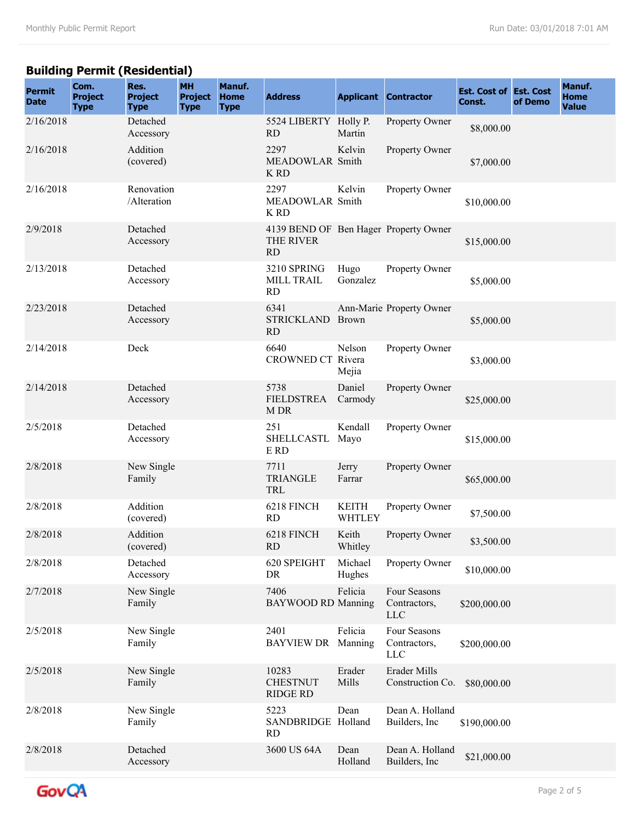## **Building Permit (Residential)**

| <b>Permit</b><br><b>Date</b> | Com.<br><b>Project</b><br><b>Type</b> | Res.<br><b>Project</b><br><b>Type</b> | <b>MH</b><br><b>Project</b><br><b>Type</b> | Manuf.<br><b>Home</b><br><b>Type</b> | <b>Address</b>                                                  |                               | <b>Applicant Contractor</b>                | <b>Est. Cost of Est. Cost</b><br>Const. | of Demo | Manuf.<br>Home<br><b>Value</b> |
|------------------------------|---------------------------------------|---------------------------------------|--------------------------------------------|--------------------------------------|-----------------------------------------------------------------|-------------------------------|--------------------------------------------|-----------------------------------------|---------|--------------------------------|
| 2/16/2018                    |                                       | Detached<br>Accessory                 |                                            |                                      | 5524 LIBERTY Holly P.<br><b>RD</b>                              | Martin                        | Property Owner                             | \$8,000.00                              |         |                                |
| 2/16/2018                    |                                       | Addition<br>(covered)                 |                                            |                                      | 2297<br>MEADOWLAR Smith<br>K RD                                 | Kelvin                        | Property Owner                             | \$7,000.00                              |         |                                |
| 2/16/2018                    |                                       | Renovation<br>/Alteration             |                                            |                                      | 2297<br>MEADOWLAR Smith<br>K RD                                 | Kelvin                        | Property Owner                             | \$10,000.00                             |         |                                |
| 2/9/2018                     |                                       | Detached<br>Accessory                 |                                            |                                      | 4139 BEND OF Ben Hager Property Owner<br>THE RIVER<br><b>RD</b> |                               |                                            | \$15,000.00                             |         |                                |
| 2/13/2018                    |                                       | Detached<br>Accessory                 |                                            |                                      | 3210 SPRING<br>MILL TRAIL<br><b>RD</b>                          | Hugo<br>Gonzalez              | Property Owner                             | \$5,000.00                              |         |                                |
| 2/23/2018                    |                                       | Detached<br>Accessory                 |                                            |                                      | 6341<br><b>STRICKLAND</b><br>RD                                 | Brown                         | Ann-Marie Property Owner                   | \$5,000.00                              |         |                                |
| 2/14/2018                    |                                       | Deck                                  |                                            |                                      | 6640<br>CROWNED CT Rivera                                       | Nelson<br>Mejia               | Property Owner                             | \$3,000.00                              |         |                                |
| 2/14/2018                    |                                       | Detached<br>Accessory                 |                                            |                                      | 5738<br><b>FIELDSTREA</b><br>M DR                               | Daniel<br>Carmody             | Property Owner                             | \$25,000.00                             |         |                                |
| 2/5/2018                     |                                       | Detached<br>Accessory                 |                                            |                                      | 251<br><b>SHELLCASTL</b><br>E RD                                | Kendall<br>Mayo               | Property Owner                             | \$15,000.00                             |         |                                |
| 2/8/2018                     |                                       | New Single<br>Family                  |                                            |                                      | 7711<br><b>TRIANGLE</b><br>TRL                                  | Jerry<br>Farrar               | Property Owner                             | \$65,000.00                             |         |                                |
| 2/8/2018                     |                                       | Addition<br>(covered)                 |                                            |                                      | 6218 FINCH<br><b>RD</b>                                         | <b>KEITH</b><br><b>WHTLEY</b> | Property Owner                             | \$7,500.00                              |         |                                |
| 2/8/2018                     |                                       | Addition<br>(covered)                 |                                            |                                      | 6218 FINCH<br>RD                                                | Keith<br>Whitley              | Property Owner                             | \$3,500.00                              |         |                                |
| 2/8/2018                     |                                       | Detached<br>Accessory                 |                                            |                                      | 620 SPEIGHT<br>DR                                               | Michael<br>Hughes             | Property Owner                             | \$10,000.00                             |         |                                |
| 2/7/2018                     |                                       | New Single<br>Family                  |                                            |                                      | 7406<br><b>BAYWOOD RD Manning</b>                               | Felicia                       | Four Seasons<br>Contractors,<br><b>LLC</b> | \$200,000.00                            |         |                                |
| 2/5/2018                     |                                       | New Single<br>Family                  |                                            |                                      | 2401<br><b>BAYVIEW DR</b>                                       | Felicia<br>Manning            | Four Seasons<br>Contractors,<br><b>LLC</b> | \$200,000.00                            |         |                                |
| 2/5/2018                     |                                       | New Single<br>Family                  |                                            |                                      | 10283<br><b>CHESTNUT</b><br><b>RIDGE RD</b>                     | Erader<br>Mills               | <b>Erader Mills</b><br>Construction Co.    | \$80,000.00                             |         |                                |
| 2/8/2018                     |                                       | New Single<br>Family                  |                                            |                                      | 5223<br>SANDBRIDGE Holland<br><b>RD</b>                         | Dean                          | Dean A. Holland<br>Builders, Inc.          | \$190,000.00                            |         |                                |
| 2/8/2018                     |                                       | Detached<br>Accessory                 |                                            |                                      | 3600 US 64A                                                     | Dean<br>Holland               | Dean A. Holland<br>Builders, Inc           | \$21,000.00                             |         |                                |

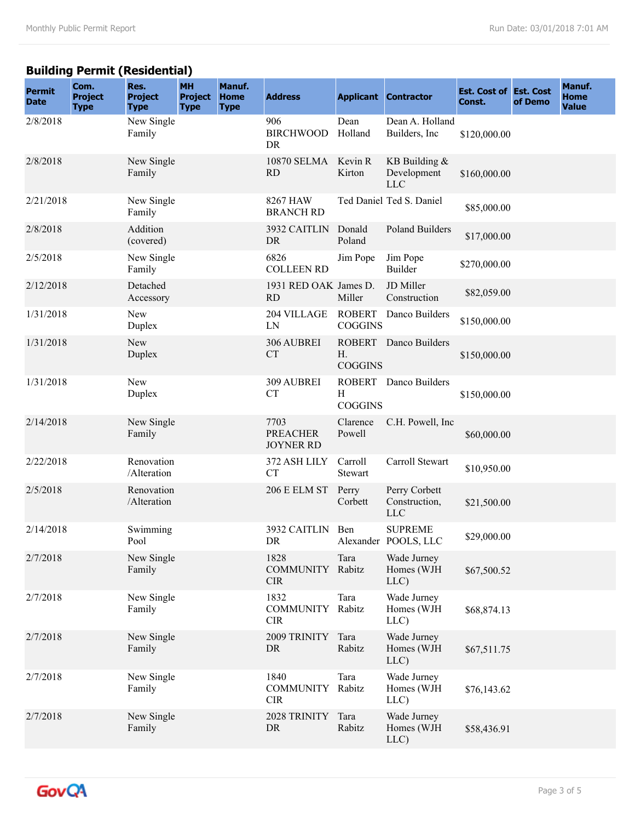## **Building Permit (Residential)**

| <b>Permit</b><br><b>Date</b> | Com.<br><b>Project</b><br><b>Type</b> | Res.<br><b>Project</b><br><b>Type</b> | <b>MH</b><br><b>Project</b><br><b>Type</b> | Manuf.<br><b>Home</b><br><b>Type</b> | <b>Address</b>                              |                      | <b>Applicant Contractor</b>                   | <b>Est. Cost of Est. Cost</b><br>Const. | of Demo | Manuf.<br>Home<br><b>Value</b> |
|------------------------------|---------------------------------------|---------------------------------------|--------------------------------------------|--------------------------------------|---------------------------------------------|----------------------|-----------------------------------------------|-----------------------------------------|---------|--------------------------------|
| 2/8/2018                     |                                       | New Single<br>Family                  |                                            |                                      | 906<br><b>BIRCHWOOD</b><br>DR               | Dean<br>Holland      | Dean A. Holland<br>Builders, Inc              | \$120,000.00                            |         |                                |
| 2/8/2018                     |                                       | New Single<br>Family                  |                                            |                                      | 10870 SELMA Kevin R<br><b>RD</b>            | Kirton               | KB Building $&$<br>Development<br><b>LLC</b>  | \$160,000.00                            |         |                                |
| 2/21/2018                    |                                       | New Single<br>Family                  |                                            |                                      | 8267 HAW<br><b>BRANCH RD</b>                |                      | Ted Daniel Ted S. Daniel                      | \$85,000.00                             |         |                                |
| 2/8/2018                     |                                       | Addition<br>(covered)                 |                                            |                                      | 3932 CAITLIN<br>DR                          | Donald<br>Poland     | Poland Builders                               | \$17,000.00                             |         |                                |
| 2/5/2018                     |                                       | New Single<br>Family                  |                                            |                                      | 6826<br><b>COLLEEN RD</b>                   | Jim Pope             | Jim Pope<br><b>Builder</b>                    | \$270,000.00                            |         |                                |
| 2/12/2018                    |                                       | Detached<br>Accessory                 |                                            |                                      | 1931 RED OAK James D.<br><b>RD</b>          | Miller               | JD Miller<br>Construction                     | \$82,059.00                             |         |                                |
| 1/31/2018                    |                                       | New<br>Duplex                         |                                            |                                      | 204 VILLAGE<br>LN                           | <b>COGGINS</b>       | ROBERT Danco Builders                         | \$150,000.00                            |         |                                |
| 1/31/2018                    |                                       | New<br>Duplex                         |                                            |                                      | 306 AUBREI<br><b>CT</b>                     | H.<br><b>COGGINS</b> | ROBERT Danco Builders                         | \$150,000.00                            |         |                                |
| 1/31/2018                    |                                       | New<br>Duplex                         |                                            |                                      | 309 AUBREI<br><b>CT</b>                     | H<br><b>COGGINS</b>  | ROBERT Danco Builders                         | \$150,000.00                            |         |                                |
| 2/14/2018                    |                                       | New Single<br>Family                  |                                            |                                      | 7703<br><b>PREACHER</b><br><b>JOYNER RD</b> | Clarence<br>Powell   | C.H. Powell, Inc.                             | \$60,000.00                             |         |                                |
| 2/22/2018                    |                                       | Renovation<br>/Alteration             |                                            |                                      | 372 ASH LILY<br><b>CT</b>                   | Carroll<br>Stewart   | Carroll Stewart                               | \$10,950.00                             |         |                                |
| 2/5/2018                     |                                       | Renovation<br>/Alteration             |                                            |                                      | <b>206 E ELM ST</b>                         | Perry<br>Corbett     | Perry Corbett<br>Construction,<br>${\rm LLC}$ | \$21,500.00                             |         |                                |
| 2/14/2018                    |                                       | Swimming<br>Pool                      |                                            |                                      | 3932 CAITLIN<br>DR                          | Ben                  | <b>SUPREME</b><br>Alexander POOLS, LLC        | \$29,000.00                             |         |                                |
| 2/7/2018                     |                                       | New Single<br>Family                  |                                            |                                      | 1828<br><b>COMMUNITY</b><br><b>CIR</b>      | Tara<br>Rabitz       | Wade Jurney<br>Homes (WJH<br>LLC)             | \$67,500.52                             |         |                                |
| 2/7/2018                     |                                       | New Single<br>Family                  |                                            |                                      | 1832<br><b>COMMUNITY</b><br><b>CIR</b>      | Tara<br>Rabitz       | Wade Jurney<br>Homes (WJH<br>LLC)             | \$68,874.13                             |         |                                |
| 2/7/2018                     |                                       | New Single<br>Family                  |                                            |                                      | 2009 TRINITY<br>${\rm DR}$                  | Tara<br>Rabitz       | Wade Jurney<br>Homes (WJH<br>LLC)             | \$67,511.75                             |         |                                |
| 2/7/2018                     |                                       | New Single<br>Family                  |                                            |                                      | 1840<br><b>COMMUNITY</b><br><b>CIR</b>      | Tara<br>Rabitz       | Wade Jurney<br>Homes (WJH<br>LLC)             | \$76,143.62                             |         |                                |
| 2/7/2018                     |                                       | New Single<br>Family                  |                                            |                                      | 2028 TRINITY<br>DR                          | Tara<br>Rabitz       | Wade Jurney<br>Homes (WJH<br>LLC)             | \$58,436.91                             |         |                                |

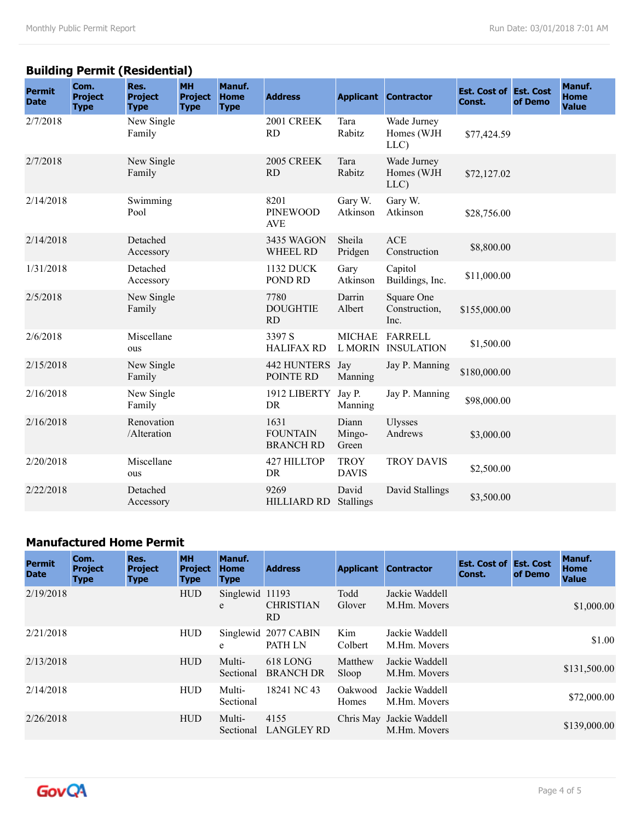## **Building Permit (Residential)**

| <b>Permit</b><br><b>Date</b> | Com.<br><b>Project</b><br><b>Type</b> | Res.<br><b>Project</b><br><b>Type</b> | <b>MH</b><br><b>Project</b><br><b>Type</b> | Manuf.<br><b>Home</b><br><b>Type</b> | <b>Address</b>                              |                             | <b>Applicant Contractor</b>         | <b>Est. Cost of Est. Cost</b><br>Const. | of Demo | Manuf.<br><b>Home</b><br><b>Value</b> |
|------------------------------|---------------------------------------|---------------------------------------|--------------------------------------------|--------------------------------------|---------------------------------------------|-----------------------------|-------------------------------------|-----------------------------------------|---------|---------------------------------------|
| 2/7/2018                     |                                       | New Single<br>Family                  |                                            |                                      | 2001 CREEK<br><b>RD</b>                     | Tara<br>Rabitz              | Wade Jurney<br>Homes (WJH<br>LLC)   | \$77,424.59                             |         |                                       |
| 2/7/2018                     |                                       | New Single<br>Family                  |                                            |                                      | <b>2005 CREEK</b><br><b>RD</b>              | Tara<br>Rabitz              | Wade Jurney<br>Homes (WJH<br>LLC)   | \$72,127.02                             |         |                                       |
| 2/14/2018                    |                                       | Swimming<br>Pool                      |                                            |                                      | 8201<br><b>PINEWOOD</b><br><b>AVE</b>       | Gary W.<br>Atkinson         | Gary W.<br>Atkinson                 | \$28,756.00                             |         |                                       |
| 2/14/2018                    |                                       | Detached<br>Accessory                 |                                            |                                      | 3435 WAGON<br><b>WHEEL RD</b>               | Sheila<br>Pridgen           | <b>ACE</b><br>Construction          | \$8,800.00                              |         |                                       |
| 1/31/2018                    |                                       | Detached<br>Accessory                 |                                            |                                      | <b>1132 DUCK</b><br>POND RD                 | Gary<br>Atkinson            | Capitol<br>Buildings, Inc.          | \$11,000.00                             |         |                                       |
| 2/5/2018                     |                                       | New Single<br>Family                  |                                            |                                      | 7780<br><b>DOUGHTIE</b><br>RD               | Darrin<br>Albert            | Square One<br>Construction,<br>Inc. | \$155,000.00                            |         |                                       |
| 2/6/2018                     |                                       | Miscellane<br>ous                     |                                            |                                      | 3397 S<br><b>HALIFAX RD</b>                 | <b>MICHAE</b><br>L MORIN    | <b>FARRELL</b><br><b>INSULATION</b> | \$1,500.00                              |         |                                       |
| 2/15/2018                    |                                       | New Single<br>Family                  |                                            |                                      | <b>442 HUNTERS</b><br>POINTE RD             | Jay<br>Manning              | Jay P. Manning                      | \$180,000.00                            |         |                                       |
| 2/16/2018                    |                                       | New Single<br>Family                  |                                            |                                      | 1912 LIBERTY<br>DR                          | Jay P.<br>Manning           | Jay P. Manning                      | \$98,000.00                             |         |                                       |
| 2/16/2018                    |                                       | Renovation<br>/Alteration             |                                            |                                      | 1631<br><b>FOUNTAIN</b><br><b>BRANCH RD</b> | Diann<br>Mingo-<br>Green    | <b>Ulysses</b><br>Andrews           | \$3,000.00                              |         |                                       |
| 2/20/2018                    |                                       | Miscellane<br>ous                     |                                            |                                      | 427 HILLTOP<br><b>DR</b>                    | <b>TROY</b><br><b>DAVIS</b> | <b>TROY DAVIS</b>                   | \$2,500.00                              |         |                                       |
| 2/22/2018                    |                                       | Detached<br>Accessory                 |                                            |                                      | 9269<br><b>HILLIARD RD</b>                  | David<br>Stallings          | David Stallings                     | \$3,500.00                              |         |                                       |

#### **Manufactured Home Permit**

| <b>Permit</b><br><b>Date</b> | Com.<br><b>Project</b><br><b>Type</b> | Res.<br><b>Project</b><br><b>Type</b> | <b>MH</b><br><b>Project</b><br><b>Type</b> | Manuf.<br><b>Home</b><br><b>Type</b> | <b>Address</b>                         |                  | <b>Applicant Contractor</b>              | <b>Est. Cost of Est. Cost</b><br>Const. | of Demo | Manuf.<br><b>Home</b><br><b>Value</b> |
|------------------------------|---------------------------------------|---------------------------------------|--------------------------------------------|--------------------------------------|----------------------------------------|------------------|------------------------------------------|-----------------------------------------|---------|---------------------------------------|
| 2/19/2018                    |                                       |                                       | <b>HUD</b>                                 | Singlewid 11193<br>e                 | <b>CHRISTIAN</b><br>RD.                | Todd<br>Glover   | Jackie Waddell<br>M.Hm. Movers           |                                         |         | \$1,000.00                            |
| 2/21/2018                    |                                       |                                       | <b>HUD</b>                                 | e                                    | Singlewid 2077 CABIN<br><b>PATH LN</b> | Kim<br>Colbert   | Jackie Waddell<br>M.Hm. Movers           |                                         |         | \$1.00                                |
| 2/13/2018                    |                                       |                                       | <b>HUD</b>                                 | Multi-<br>Sectional                  | 618 LONG<br><b>BRANCH DR</b>           | Matthew<br>Sloop | Jackie Waddell<br>M.Hm. Movers           |                                         |         | \$131,500.00                          |
| 2/14/2018                    |                                       |                                       | <b>HUD</b>                                 | Multi-<br>Sectional                  | 18241 NC 43                            | Oakwood<br>Homes | Jackie Waddell<br>M.Hm. Movers           |                                         |         | \$72,000.00                           |
| 2/26/2018                    |                                       |                                       | <b>HUD</b>                                 | Multi-<br>Sectional                  | 4155<br><b>LANGLEY RD</b>              |                  | Chris May Jackie Waddell<br>M.Hm. Movers |                                         |         | \$139,000.00                          |